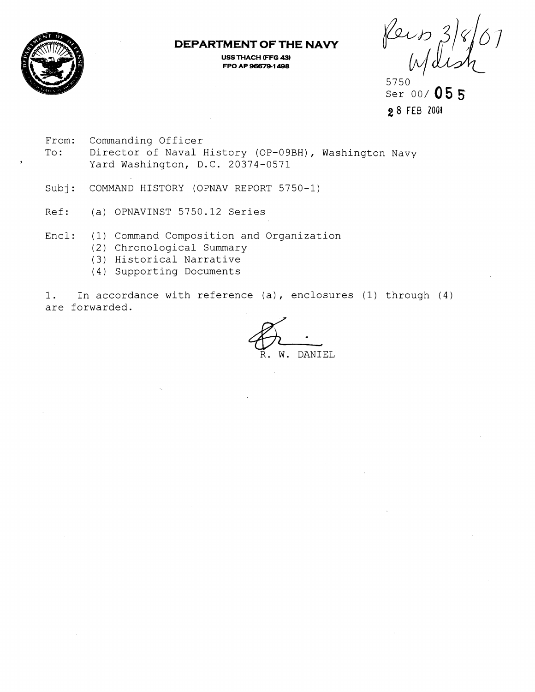

## **DEPARTMENT OF THE NAVY**

**USS THACH (FFG 43) FPO AID 966741 498** 

Reis

5750 Ser 00/ 055 2 8 FEB 2001

- From: Commanding Officer To: Director of Naval History (OP-09BH), Washington Navy **<sup>2</sup>**Yard Washington, D.C. 20374-0571
- Subj: COMMAND HISTORY (OPNAV REPORT 5750-1)
- Ref: (a) OPNAVINST 5750.12 Series
- Encl: (1) Command Composition and Organization
	- (2) Chronological Summary
	- (3) Historical Narrative
	- (4 ) Supporting Documents

1. In accordance with reference (a), enclosures (1) through (4) are forwarded. nd Organization<br>
e (a), enclosures (1) through<br>
R. W. DANIEL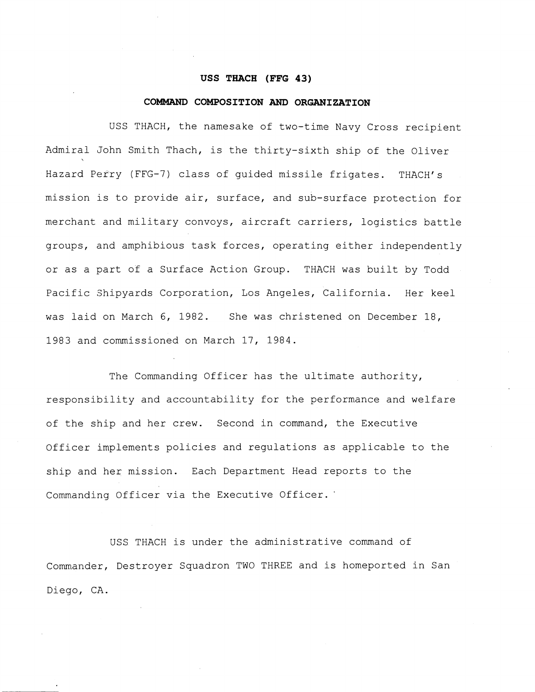### **USS THACH (FFG 43)**

### **COMMAND COMPOSITION AND ORGANIZATION**

USS THACH, the namesake of two-time Navy Cross recipient Admiral John Smith Thach, is the thirty-sixth ship of the Oliver Hazard Perty (FFG-7) class of quided missile frigates. THACH's mission is to provide air, surface, and sub-surface protection for merchant and military convoys, aircraft carriers, logistics battle groups, and amphibious task forces, operating either independently or as a part of a Surface Action Group. THACH was built by Todd Pacific 3hipyards Corporation, Los Angeles, California. Her keel was laid on March 6, 1982. She was christened on December 18, 1983 and commissioned on March 17, 1984.

The Commanding Officer has the ultimate authority, responsibility and accountability for the performance and welfare of the ship and her crew. Second in command, the Executive Officer implements policies and regulations as applicable to the ship and her mission. Each Department Head reports to the Commanding Officer via the Executive Officer.'

USS THACH is under the administrative command of Commander, Destroyer Squadron TWO THREE and is homeported in San Diego, CA.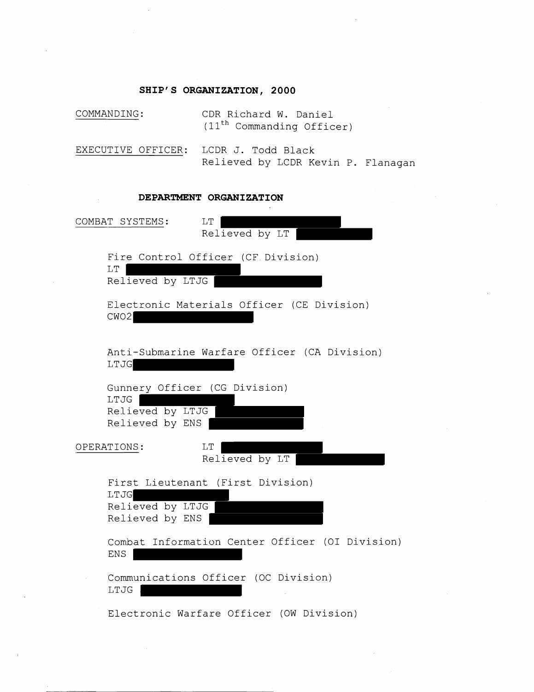## **SHIP'S ORGANIZATION, 2000**

| COMMANDING:                                 | CDR Richard W. Daniel<br>$(11th$ Commanding Officer)     |
|---------------------------------------------|----------------------------------------------------------|
| EXECUTIVE OFFICER:                          | LCDR J. Todd Black<br>Relieved by LCDR Kevin P. Flanagan |
| DEPARTMENT ORGANIZATION                     |                                                          |
| COMBAT SYSTEMS:                             | LT<br>Relieved by LT                                     |
| LT<br>Relieved by LTJG                      | Fire Control Officer (CF Division)                       |
| CWO2                                        | Electronic Materials Officer (CE Division)               |
| LTJG                                        | Anti-Submarine Warfare Officer (CA Division)             |
| LTJG<br>Relieved by LTJG<br>Relieved by ENS | Gunnery Officer (CG Division)                            |
| OPERATIONS:                                 | LT<br>Relieved by LT                                     |
| LTJG<br>Relieved by LTJG<br>Relieved by ENS | First Lieutenant (First Division)                        |
| <b>ENS</b>                                  | Combat Information Center Officer (OI Division)          |
| LTJG                                        | Communications Officer (OC Division)                     |
|                                             |                                                          |

Electronic Warfare Officer (OW Division)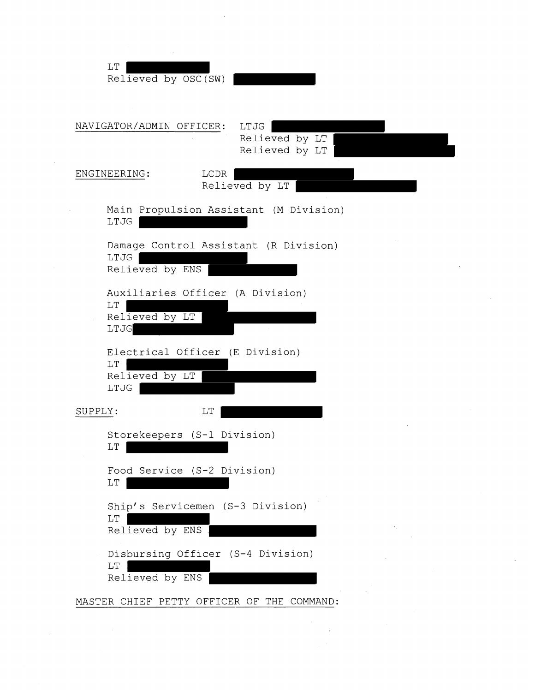| LT<br>Relieved by OSC(SW)                            |                                          |
|------------------------------------------------------|------------------------------------------|
| NAVIGATOR/ADMIN OFFICER:                             | LTJG<br>Relieved by LT<br>Relieved by LT |
| ENGINEERING:                                         | LCDR<br>Relieved by LT                   |
| LTJG                                                 | Main Propulsion Assistant (M Division)   |
| LTJG<br>Relieved by ENS                              | Damage Control Assistant (R Division)    |
| LT<br>Relieved by LT<br>LTJG                         | Auxiliaries Officer (A Division)         |
| $\mathop{\rm LT}\nolimits$<br>Relieved by LT<br>LTJG | Electrical Officer (E Division)          |
| SUPPLY:                                              | LT                                       |
| Storekeepers (S-1 Division)<br>LT                    |                                          |
| Food Service (S-2 Division)<br>LT                    |                                          |
| LT<br>Relieved by ENS                                | Ship's Servicemen (S-3 Division)         |
| LT<br>Relieved by ENS                                | Disbursing Officer (S-4 Division)        |

 $\bar{\mathcal{A}}$ 

 $\bar{z}$ 

MASTER CHIEF PETTY OFFICER OF THE COMMAND: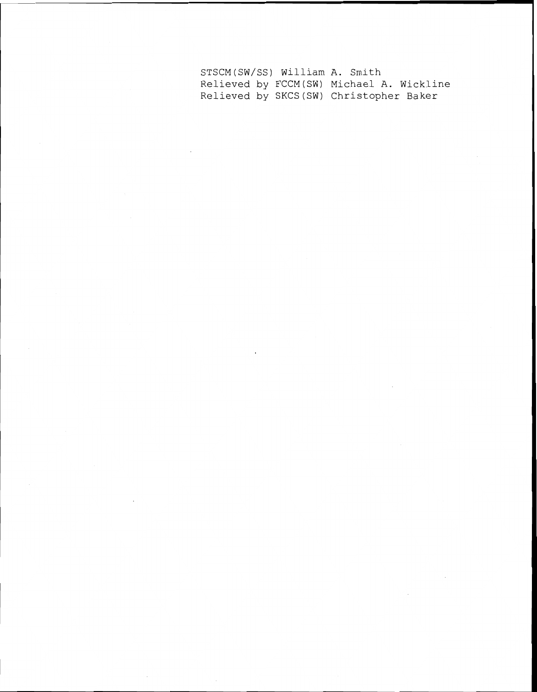STSCM (SW/SS) William A. Smith Relieved by FCCM(SW) Michael A. Wickline Relieved by SKCS (SW) Christopher Baker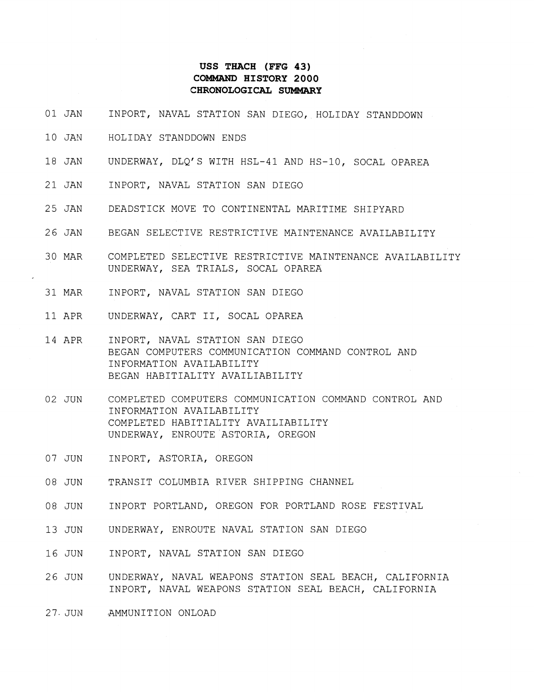## **USS THACH (FFG 43) COMMAND HISTORY 2000 CHRONOLOGICAL SUMMAFtY**

- 01 JAN INPORT, NAVAL STATION SAN DIEGO, HOLIDAY STANDDOWN
- 10 JAY HOLIDAY STANDDOWN ENDS
- 18 JAN UNDERWAY, DLQ'S WITH HSL-41 AND HS-10, SOCAL OPAREA
- 21 JAN INPORT, NAVAL STATION SAN DIEGO
- 25 JAN DEADSTICK MOVE TO CONTINENTAL MARITIME SHIPYARD
- 26 JAN BEGAN SELECTIVE RESTRICTIVE MAINTENANCE AVAILABILITY
- 30 MAR COMPLETED SELECTIVE RESTRICTIVE MAINTENANCE AVAILABILITY UNDERWAY, SEA TRIALS, SOCAL OPAREA
- 31 MAR INPORT, NAVAL STATION SAN DIEGO
- 11 APR UNDERWAY, CART 11, SOCAL OPAREA
- 14 APR INPORT, NAVAL STATION SAN DIEGO BEGAN COMPUTERS COMMUNICATION COMMAND CONTROL AND INFORMATION AVAILABILITY BEGAN HABITIALITY AVAILIABILITY
- 02 JUN COMPLETED COMPUTERS COMMUNICATION COMMAND CONTROL AND INFORMATION AVAILABILITY COMPLETED HABITIALITY AVAILIABILITY UNDERWAY, ENROUTE ASTORIA, OREGON
- 07 JUN INPORT, ASTORIA, OREGON
- 08 JUN TRANSIT COLUMBIA RIVER SHIPPING CHANNEL
- 08 JUN INPORT PORTLAND, OREGON FOR PORTLAND ROSE FESTIVAL
- 13 JUN UNDERWAY, ENROUTE NAVAL STATION SAN DIEGO
- 16 JUN INPORT, NAVAL STATION SAN DIEGO
- 26 JUN UNDERWAY, NAVAL WEAPONS STATION SEAL BEACH, CALIFORNIA INPORT, NAVAL WEAPONS STATION SEAL BEACH, CALIFORNIA
- 27. JUN AMMUNITION ONLOAD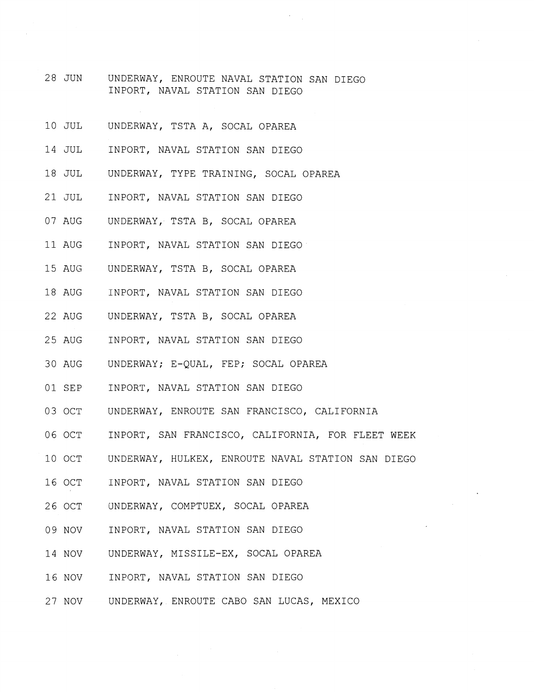- 28 JUN UNDERWAY, ENROUTE NAVAL STATION SAN DIEGO INPORT, NAVAL STATION SAN DIEGO
- 10 JUL UNDERWAY, TSTA A, SOCAL OPAREA
- 14 JUL INPORT, NAVAL STATION SAN DIEGO
- 18 JUL UNDERWAY, TYPE TRAINING, SOCAL OPAREA
- 21 JUL INPORT, NAVAL STATION SAN DIEGO
- 07 AUG UNDERWAY, TSTA B, SOCAL OPAREA
- 11 AUG INPORT, NAVAL STATION SAN DIEGO
- 15 AUG UNDERWAY, TSTA B, SOCAL OPAREA
- 18 AUG INPORT, NAVAL STATION SAN DIEGO
- 22 AUG UNDERWAY, TSTA B, SOCAL OPAREA
- 25 AUG INPORT, NAVAL STATION SAN DIEGO
- 30 AUG UNDERWAY; E-QUAL, FEP; SOCAL OPAREA
- 01 SEP INPORT, NAVAL STATION SAN DIEGO
- 03 OCT UNDERWAY, ENROUTE SAN FRANCISCO, CALIFORNIA
- 06 OCT INPORT, SAN FRANCISCO, CALIFORNIA, FOR FLEET WEEK
- 10 OCT UNDERWAY, HULKEX, ENROUTE NAVAL STATION SAN DIEGO
- 16 OCT INPORT, NAVAL STATION SAN DIEGO
- 26 OCT UNDERWAY, COMPTUEX, SOCAL OPAREA
- 09 NOV INPORT, NAVAL STATION SAN DIEGO
- 14 NOV UNDERWAY, MISSILE-EX, SOCAL OPAREA
- 16 NOV INPORT, NAVAL STATION SAN DIEGO
- 27 NOV UNDERWAY, ENROUTE CAB0 SAN LUCAS, MEXICO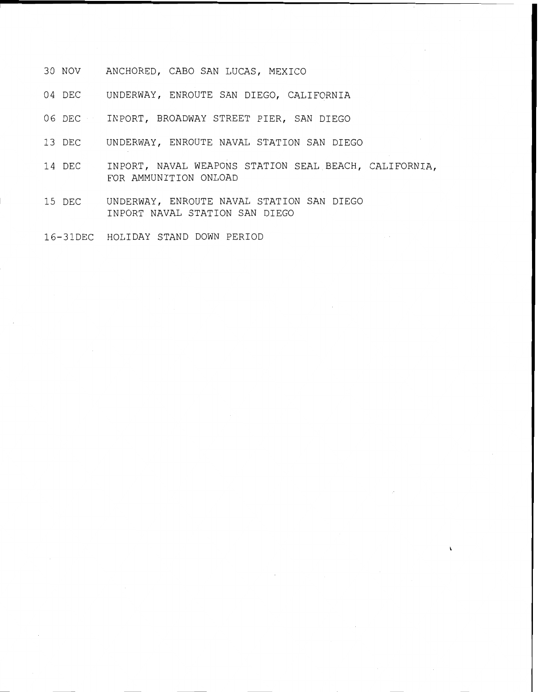- 30 NOV ANCHORED, CAB0 SAN LUCAS, MEXICO
- 04 DEC UNDERWAY, ENROUTE SAN DIEGO, CALIFORNIA
- 06 DEC INPORT, BROADWAY STREET PIER, SAN DIEGO
- 13 DEC UNDERWAY, ENROUTE NAVAL STATION SAN DIEGO
- 14 DEC INPORT, NAVAL WEAPONS STATION SEAL BEACH, CALIFORNIA, FOR AMMUNITION ONLOAD
- 15 DEC UNDERWAY, ENROUTE NAVAL STATION SAN DIEGO INPORT NAVAL STATION SAN DIEGO
- 16-31DEC HOLIDAY STAND DOWN PERIOD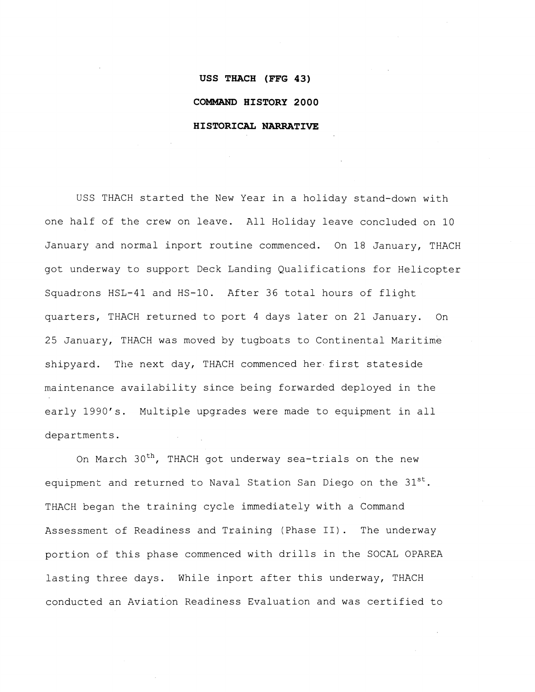# **USS THACH (FFG 43) COMMAND HISTORY 2000 HISTORICAL NARRATIVE**

USS THACH started the New Year in a holiday stand-down with one half of the crew on leave. All Holiday leave concluded on 10 January and normal inport routine commenced. On 18 January, THACH got underway to support Deck Landing Qualifications for Helicopter Squadrons HSL-41 and HS-10. After 36 total hours of flight quarters, THACH returned to port 4 days later on 21 January. On 25 January, THACH was moved by tugboats to Continental Maritime shipyard. The next day, THACH commenced her. first stateside maintenance availability since being forwarded deployed in the early 1990's. Multiple upgrades were made to equipment in all departments.

On March 30<sup>th</sup>, THACH got underway sea-trials on the new equipment and returned to Naval Station San Diego on the  $31^{st}$ . THACH began the training cycle immediately with a Command Assessment of Readiness and Training (Phase 11). The underway portion of this phase commenced with drills in the SOCAL OPAREA lasting three days. While inport after this underway, THACH conducted an Aviation Readiness Evaluation and was certified to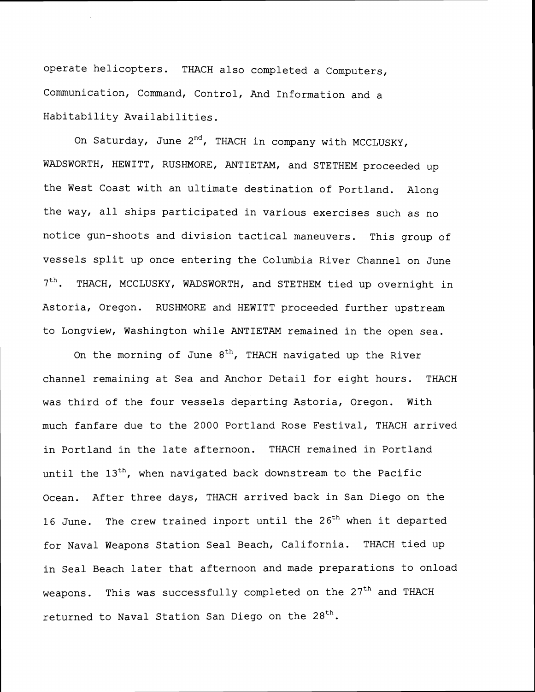operate helicopters. THACH also completed a Computers, Communication, Command, Control, And Information and a Habitability Availabilities.

On Saturday, June  $2^{nd}$ , THACH in company with MCCLUSKY, WADSWORTH, HEWITT, RUSHMORE, ANTIETAM, and STETHEM proceeded up the West Coast with an ultimate destination of Portland. Along the way, all ships participated in various exercises such as no notice gun-shoots and division tactical maneuvers. This group of vessels split up once entering the Columbia River Channel on June 7<sup>th</sup>. THACH, MCCLUSKY, WADSWORTH, and STETHEM tied up overnight in Astoria, Oregon. RUSHMORE and HEWITT proceeded further upstream to Longview, Washington while ANTIETAM remained in the open sea.

On the morning of June  $8<sup>th</sup>$ , THACH navigated up the River channel remaining at Sea and Anchor Detail for eight hours. THACH was third of the four vessels departing Astoria, Oregon. With much fanfare due to the 2000 Portland Rose Festival, THACH arrived in Portland in the late afternoon. THACH remained in Portland until the  $13<sup>th</sup>$ , when navigated back downstream to the Pacific Ocean. After three days, THACH arrived back in San Diego on the 16 June. The crew trained inport until the  $26<sup>th</sup>$  when it departed for Naval Weapons Station Seal Beach, California. THACH tied up in Seal Beach later that afternoon and made preparations to onload weapons. This was successfully completed on the  $27<sup>th</sup>$  and THACH returned to Naval Station San Diego on the  $28<sup>th</sup>$ .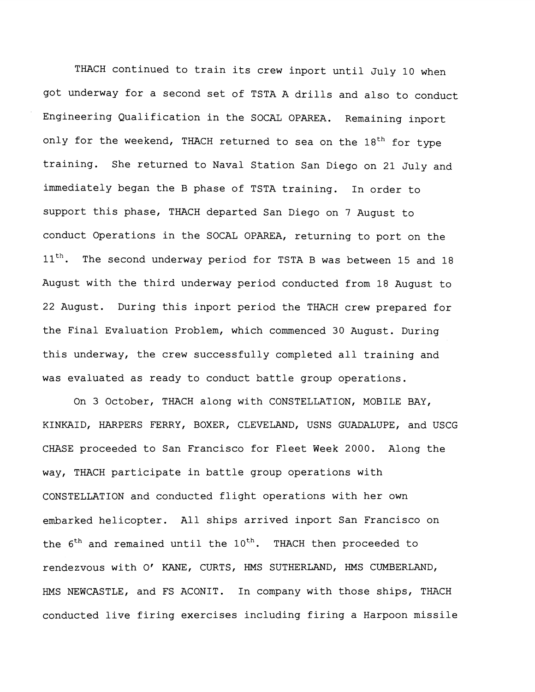THACH continued to train its crew inport until July 10 when got underway for a second set of TSTA A drills and also to conduct Engineering Qualification in the SOCAL OPAREA. Remaining inport only for the weekend, THACH returned to sea on the  $18<sup>th</sup>$  for type training. She returned to Naval Station San Diego on 21 July and immediately began the B phase of TSTA training. In order to support this phase, THACH departed San Diego on 7 August to conduct Operations in the SOCAL OPAREA, returning to port on the  $11<sup>th</sup>$ . The second underway period for TSTA B was between 15 and 18 August with the third underway period conducted from 18 August to 22 August. During this inport period the THACH crew prepared for the Final Evaluation Problem, which commenced 30 August. During this underway, the crew successfully completed all training and was evaluated as ready to conduct battle group operations.

On 3 October, THACH along with CONSTELLATION, MOBILE BAY, KINKAID, HARPERS FERRY, BOXER, CLEVELAND, USNS GUADALUPE, and USCG CHASE proceeded to San Francisco for Fleet Week 2000. Along the way, THACH participate in battle group operations with CONSTELLATION and conducted flight operations with her own embarked helicopter. All ships arrived inport San Francisco on the  $6<sup>th</sup>$  and remained until the  $10<sup>th</sup>$ . THACH then proceeded to rendezvous with 0' KANE, CURTS, HMS SUTHERLAND, HMS CUMBERLAND, HMS NEWCASTLE, and FS ACONIT. In company with those ships, THACH conducted live firing exercises including firing a Harpoon missile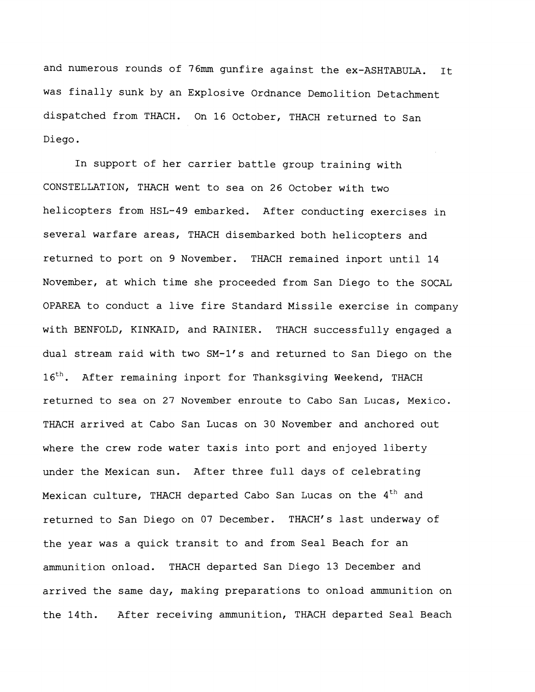and numerous rounds of 76mm gunfire against the ex-ASHTABULA. It was finally sunk by an Explosive Ordnance Demolition Detachment dispatched from THACH. On 16 October, THACH returned to San Diego.

In support of her carrier battle group training with CONSTELLATION, THACH went to sea on 26 October with two helicopters from HSL-49 embarked. After conducting exercises in several warfare areas, THACH disembarked both helicopters and returned to port on 9 November. THACH remained inport until 14 November, at which time she proceeded from San Diego to the SOCAL OPAREA to conduct a live fire Standard Missile exercise in company with BENFOLD, KINKAID, and RAINIER. THACH successfully engaged a dual stream raid with two SM-1's and returned to San Diego on the 16<sup>th</sup>. After remaining inport for Thanksgiving Weekend, THACH returned to sea on 27 November enroute to Cabo San Lucas, Mexico. THACH arrived at Cabo San Lucas on 30 November and anchored out where the crew rode water taxis into port and enjoyed liberty under the Mexican sun. After three full days of celebrating Mexican culture, THACH departed Cabo San Lucas on the 4<sup>th</sup> and returned to San Diego on 07 December. THACH's last underway of the year was a quick transit to and from Seal Beach for an ammunition onload. THACH departed San Diego 13 December and arrived the same day, making preparations to onload ammunition on the 14th. After receiving ammunition, THACH departed Seal Beach